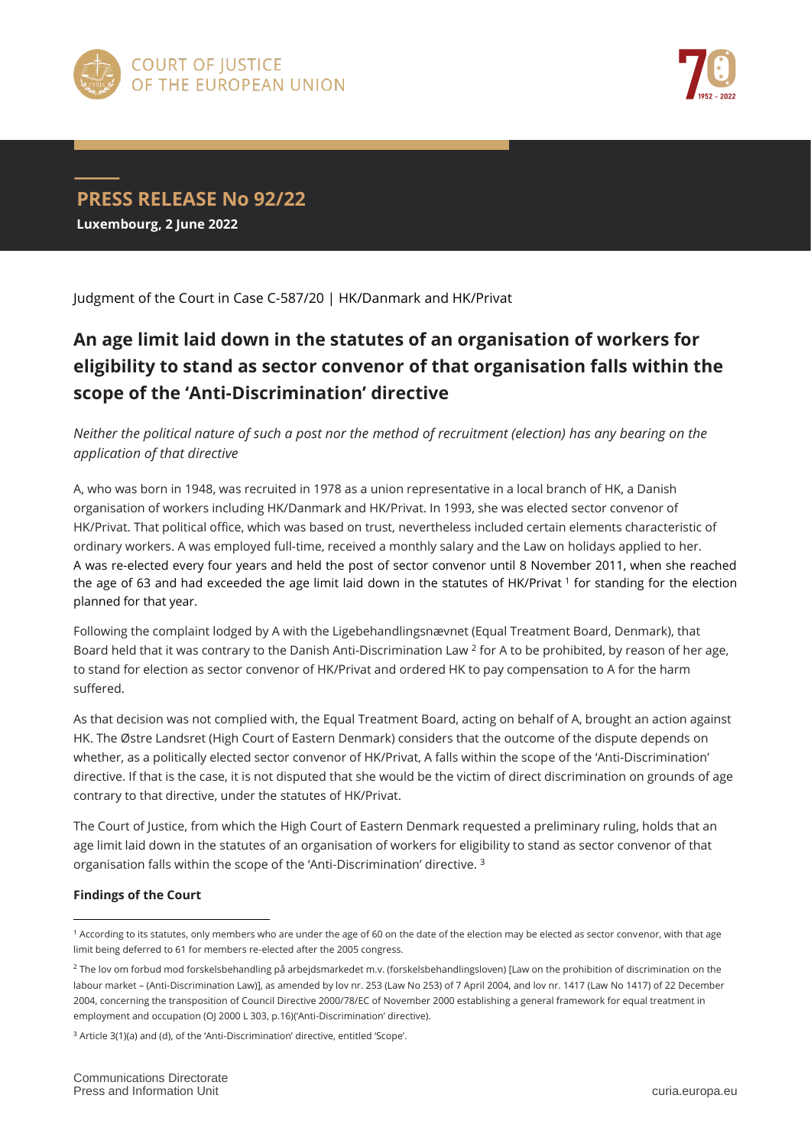



**PRESS RELEASE No 92/22 Luxembourg, 2 June 2022**

Judgment of the Court in Case C-587/20 | HK/Danmark and HK/Privat

## **An age limit laid down in the statutes of an organisation of workers for eligibility to stand as sector convenor of that organisation falls within the scope of the 'Anti-Discrimination' directive**

*Neither the political nature of such a post nor the method of recruitment (election) has any bearing on the application of that directive*

A, who was born in 1948, was recruited in 1978 as a union representative in a local branch of HK, a Danish organisation of workers including HK/Danmark and HK/Privat. In 1993, she was elected sector convenor of HK/Privat. That political office, which was based on trust, nevertheless included certain elements characteristic of ordinary workers. A was employed full-time, received a monthly salary and the Law on holidays applied to her. A was re-elected every four years and held the post of sector convenor until 8 November 2011, when she reached the age of 63 and had exceeded the age limit laid down in the statutes of HK/Privat <sup>1</sup> for standing for the election planned for that year.

Following the complaint lodged by A with the Ligebehandlingsnævnet (Equal Treatment Board, Denmark), that Board held that it was contrary to the Danish Anti-Discrimination Law <sup>2</sup> for A to be prohibited, by reason of her age, to stand for election as sector convenor of HK/Privat and ordered HK to pay compensation to A for the harm suffered.

As that decision was not complied with, the Equal Treatment Board, acting on behalf of A, brought an action against HK. The Østre Landsret (High Court of Eastern Denmark) considers that the outcome of the dispute depends on whether, as a politically elected sector convenor of HK/Privat, A falls within the scope of the 'Anti-Discrimination' directive. If that is the case, it is not disputed that she would be the victim of direct discrimination on grounds of age contrary to that directive, under the statutes of HK/Privat.

The Court of Justice, from which the High Court of Eastern Denmark requested a preliminary ruling, holds that an age limit laid down in the statutes of an organisation of workers for eligibility to stand as sector convenor of that organisation falls within the scope of the 'Anti-Discrimination' directive.<sup>3</sup>

## **Findings of the Court**

 $\overline{a}$ <sup>1</sup> According to its statutes, only members who are under the age of 60 on the date of the election may be elected as sector convenor, with that age limit being deferred to 61 for members re-elected after the 2005 congress.

<sup>2</sup> The lov om forbud mod forskelsbehandling på arbejdsmarkedet m.v. (forskelsbehandlingsloven) [Law on the prohibition of discrimination on the labour market – (Anti-Discrimination Law)], as amended by lov nr. 253 (Law No 253) of 7 April 2004, and lov nr. 1417 (Law No 1417) of 22 December 2004, concerning the transposition of Council Directive 2000/78/EC of November 2000 establishing a general framework for equal treatment in employment and occupation (OJ 2000 L 303, p.16)('Anti-Discrimination' directive).

<sup>&</sup>lt;sup>3</sup> Article 3(1)(a) and (d), of the 'Anti-Discrimination' directive, entitled 'Scope'.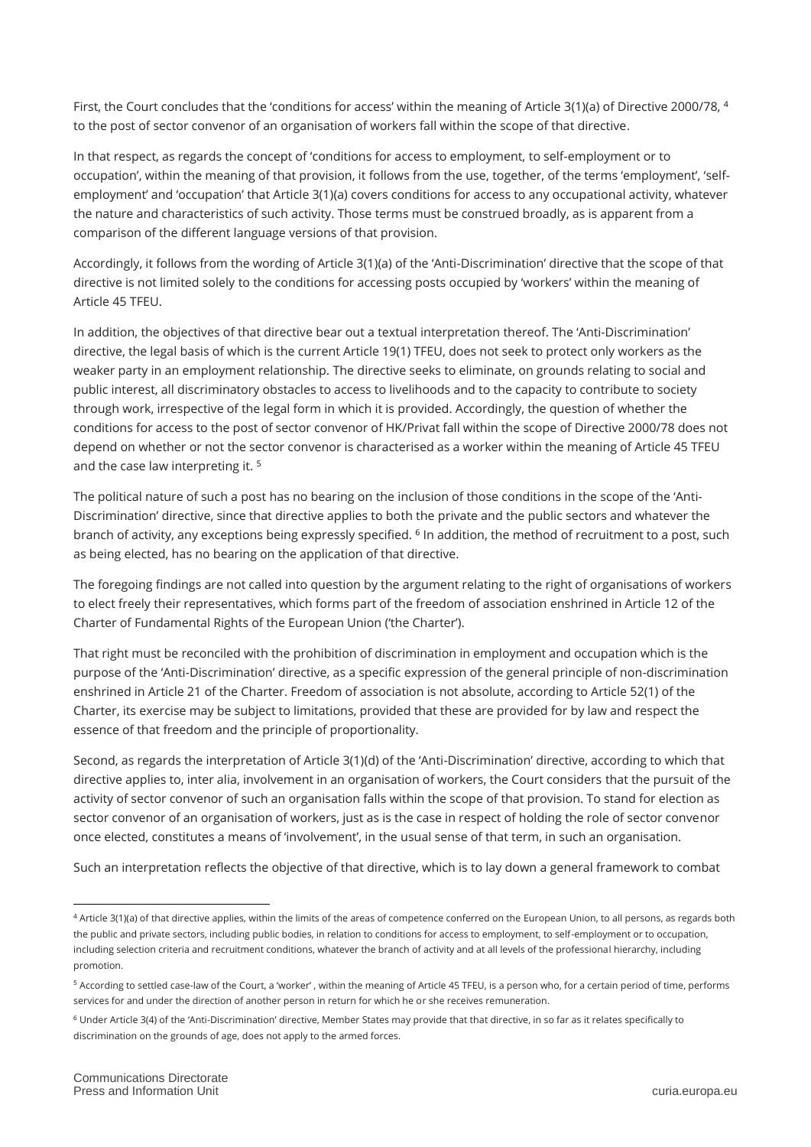First, the Court concludes that the 'conditions for access' within the meaning of Article 3(1)(a) of Directive 2000/78, <sup>4</sup> to the post of sector convenor of an organisation of workers fall within the scope of that directive.

In that respect, as regards the concept of 'conditions for access to employment, to self-employment or to occupation', within the meaning of that provision, it follows from the use, together, of the terms 'employment', 'selfemployment' and 'occupation' that Article 3(1)(a) covers conditions for access to any occupational activity, whatever the nature and characteristics of such activity. Those terms must be construed broadly, as is apparent from a comparison of the different language versions of that provision.

Accordingly, it follows from the wording of Article 3(1)(a) of the 'Anti-Discrimination' directive that the scope of that directive is not limited solely to the conditions for accessing posts occupied by 'workers' within the meaning of Article 45 TFEU.

In addition, the objectives of that directive bear out a textual interpretation thereof. The 'Anti-Discrimination' directive, the legal basis of which is the current Article 19(1) TFEU, does not seek to protect only workers as the weaker party in an employment relationship. The directive seeks to eliminate, on grounds relating to social and public interest, all discriminatory obstacles to access to livelihoods and to the capacity to contribute to society through work, irrespective of the legal form in which it is provided. Accordingly, the question of whether the conditions for access to the post of sector convenor of HK/Privat fall within the scope of Directive 2000/78 does not depend on whether or not the sector convenor is characterised as a worker within the meaning of Article 45 TFEU and the case law interpreting it. <sup>5</sup>

The political nature of such a post has no bearing on the inclusion of those conditions in the scope of the 'Anti-Discrimination' directive, since that directive applies to both the private and the public sectors and whatever the branch of activity, any exceptions being expressly specified. <sup>6</sup> In addition, the method of recruitment to a post, such as being elected, has no bearing on the application of that directive.

The foregoing findings are not called into question by the argument relating to the right of organisations of workers to elect freely their representatives, which forms part of the freedom of association enshrined in Article 12 of the Charter of Fundamental Rights of the European Union ('the Charter').

That right must be reconciled with the prohibition of discrimination in employment and occupation which is the purpose of the 'Anti-Discrimination' directive, as a specific expression of the general principle of non-discrimination enshrined in Article 21 of the Charter. Freedom of association is not absolute, according to Article 52(1) of the Charter, its exercise may be subject to limitations, provided that these are provided for by law and respect the essence of that freedom and the principle of proportionality.

Second, as regards the interpretation of Article 3(1)(d) of the 'Anti-Discrimination' directive, according to which that directive applies to, inter alia, involvement in an organisation of workers, the Court considers that the pursuit of the activity of sector convenor of such an organisation falls within the scope of that provision. To stand for election as sector convenor of an organisation of workers, just as is the case in respect of holding the role of sector convenor once elected, constitutes a means of 'involvement', in the usual sense of that term, in such an organisation.

Such an interpretation reflects the objective of that directive, which is to lay down a general framework to combat

 $\overline{a}$ 

<sup>4</sup> Article 3(1)(a) of that directive applies, within the limits of the areas of competence conferred on the European Union, to all persons, as regards both the public and private sectors, including public bodies, in relation to conditions for access to employment, to self-employment or to occupation, including selection criteria and recruitment conditions, whatever the branch of activity and at all levels of the professional hierarchy, including promotion.

<sup>5</sup> According to settled case-law of the Court, a 'worker' , within the meaning of Article 45 TFEU, is a person who, for a certain period of time, performs services for and under the direction of another person in return for which he or she receives remuneration.

<sup>6</sup> Under Article 3(4) of the 'Anti-Discrimination' directive, Member States may provide that that directive, in so far as it relates specifically to discrimination on the grounds of age, does not apply to the armed forces.